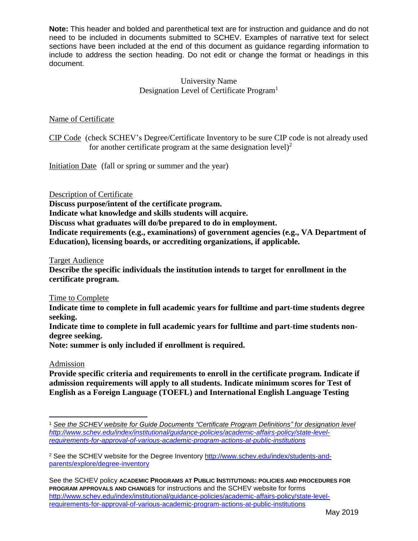## University Name Designation Level of Certificate Program<sup>1</sup>

## Name of Certificate

CIP Code (check SCHEV's Degree/Certificate Inventory to be sure CIP code is not already used for another certificate program at the same designation level) $^{2}$ 

Initiation Date (fall or spring or summer and the year)

Description of Certificate

**Discuss purpose/intent of the certificate program.**

**Indicate what knowledge and skills students will acquire.**

**Discuss what graduates will do/be prepared to do in employment.**

**Indicate requirements (e.g., examinations) of government agencies (e.g., VA Department of Education), licensing boards, or accrediting organizations, if applicable.**

Target Audience

**Describe the specific individuals the institution intends to target for enrollment in the certificate program.**

Time to Complete

**Indicate time to complete in full academic years for fulltime and part-time students degree seeking.**

**Indicate time to complete in full academic years for fulltime and part-time students nondegree seeking.**

**Note: summer is only included if enrollment is required.**

### Admission

**Provide specific criteria and requirements to enroll in the certificate program. Indicate if admission requirements will apply to all students. Indicate minimum scores for Test of English as a Foreign Language (TOEFL) and International English Language Testing** 

 $\overline{\phantom{a}}$ <sup>1</sup> *See the SCHEV website for Guide Documents "Certificate Program Definitions" for designation level [http://www.schev.edu/index/institutional/guidance-policies/academic-affairs-policy/state-level](http://www.schev.edu/index/institutional/guidance-policies/academic-affairs-policy/state-level-requirements-for-approval-of-various-academic-program-actions-at-public-institutions)[requirements-for-approval-of-various-academic-program-actions-at-public-institutions](http://www.schev.edu/index/institutional/guidance-policies/academic-affairs-policy/state-level-requirements-for-approval-of-various-academic-program-actions-at-public-institutions)*

<sup>&</sup>lt;sup>2</sup> See the SCHEV website for the Degree Inventory [http://www.schev.edu/index/students-and](http://www.schev.edu/index/students-and-parents/explore/degree-inventory)[parents/explore/degree-inventory](http://www.schev.edu/index/students-and-parents/explore/degree-inventory)

See the SCHEV policy **ACADEMIC PROGRAMS AT PUBLIC INSTITUTIONS: POLICIES AND PROCEDURES FOR PROGRAM APPROVALS AND CHANGES** for instructions and the SCHEV website for forms [http://www.schev.edu/index/institutional/guidance-policies/academic-affairs-policy/state-level](http://www.schev.edu/index/institutional/guidance-policies/academic-affairs-policy/state-level-requirements-for-approval-of-various-academic-program-actions-at-public-institutions)[requirements-for-approval-of-various-academic-program-actions-at-public-institutions](http://www.schev.edu/index/institutional/guidance-policies/academic-affairs-policy/state-level-requirements-for-approval-of-various-academic-program-actions-at-public-institutions)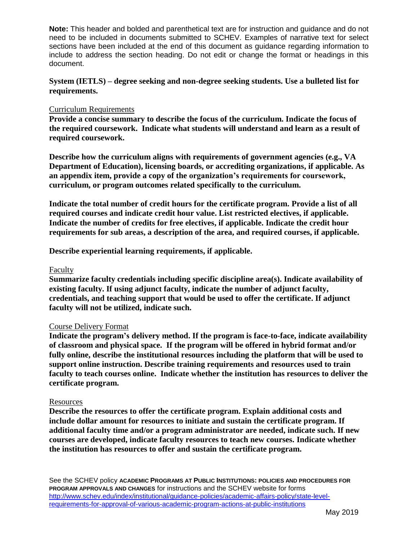### **System (IETLS) – degree seeking and non-degree seeking students. Use a bulleted list for requirements.**

### Curriculum Requirements

**Provide a concise summary to describe the focus of the curriculum. Indicate the focus of the required coursework. Indicate what students will understand and learn as a result of required coursework.** 

**Describe how the curriculum aligns with requirements of government agencies (e.g., VA Department of Education), licensing boards, or accrediting organizations, if applicable. As an appendix item, provide a copy of the organization's requirements for coursework, curriculum, or program outcomes related specifically to the curriculum.** 

**Indicate the total number of credit hours for the certificate program. Provide a list of all required courses and indicate credit hour value. List restricted electives, if applicable. Indicate the number of credits for free electives, if applicable. Indicate the credit hour requirements for sub areas, a description of the area, and required courses, if applicable.** 

**Describe experiential learning requirements, if applicable.** 

#### Faculty

**Summarize faculty credentials including specific discipline area(s). Indicate availability of existing faculty. If using adjunct faculty, indicate the number of adjunct faculty, credentials, and teaching support that would be used to offer the certificate. If adjunct faculty will not be utilized, indicate such.**

### Course Delivery Format

**Indicate the program's delivery method. If the program is face-to-face, indicate availability of classroom and physical space. If the program will be offered in hybrid format and/or fully online, describe the institutional resources including the platform that will be used to support online instruction. Describe training requirements and resources used to train faculty to teach courses online. Indicate whether the institution has resources to deliver the certificate program.**

### Resources

**Describe the resources to offer the certificate program. Explain additional costs and include dollar amount for resources to initiate and sustain the certificate program. If additional faculty time and/or a program administrator are needed, indicate such. If new courses are developed, indicate faculty resources to teach new courses. Indicate whether the institution has resources to offer and sustain the certificate program.**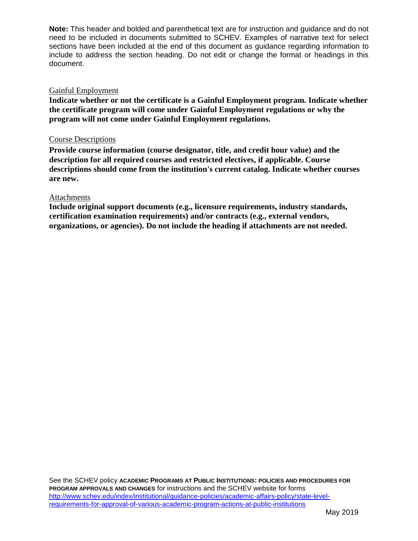#### Gainful Employment

**Indicate whether or not the certificate is a Gainful Employment program. Indicate whether the certificate program will come under Gainful Employment regulations or why the program will not come under Gainful Employment regulations.**

#### Course Descriptions

**Provide course information (course designator, title, and credit hour value) and the description for all required courses and restricted electives, if applicable. Course descriptions should come from the institution's current catalog. Indicate whether courses are new.**

#### Attachments

**Include original support documents (e.g., licensure requirements, industry standards, certification examination requirements) and/or contracts (e.g., external vendors, organizations, or agencies). Do not include the heading if attachments are not needed.**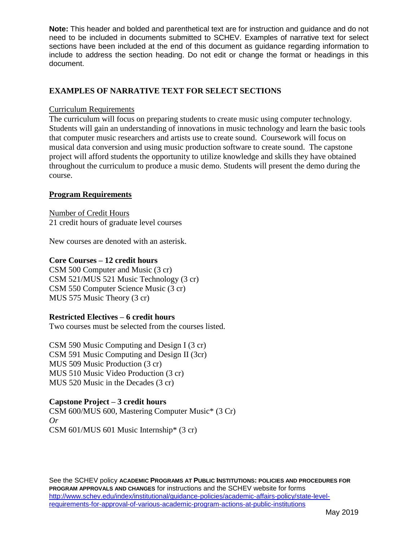# **EXAMPLES OF NARRATIVE TEXT FOR SELECT SECTIONS**

### Curriculum Requirements

The curriculum will focus on preparing students to create music using computer technology. Students will gain an understanding of innovations in music technology and learn the basic tools that computer music researchers and artists use to create sound. Coursework will focus on musical data conversion and using music production software to create sound. The capstone project will afford students the opportunity to utilize knowledge and skills they have obtained throughout the curriculum to produce a music demo. Students will present the demo during the course.

## **Program Requirements**

Number of Credit Hours 21 credit hours of graduate level courses

New courses are denoted with an asterisk.

## **Core Courses – 12 credit hours**

CSM 500 Computer and Music (3 cr) CSM 521/MUS 521 Music Technology (3 cr) CSM 550 Computer Science Music (3 cr) MUS 575 Music Theory (3 cr)

## **Restricted Electives – 6 credit hours**

Two courses must be selected from the courses listed.

CSM 590 Music Computing and Design I (3 cr) CSM 591 Music Computing and Design II (3cr) MUS 509 Music Production (3 cr) MUS 510 Music Video Production (3 cr) MUS 520 Music in the Decades (3 cr)

# **Capstone Project – 3 credit hours**

CSM 600/MUS 600, Mastering Computer Music\* (3 Cr) *Or*  CSM 601/MUS 601 Music Internship\* (3 cr)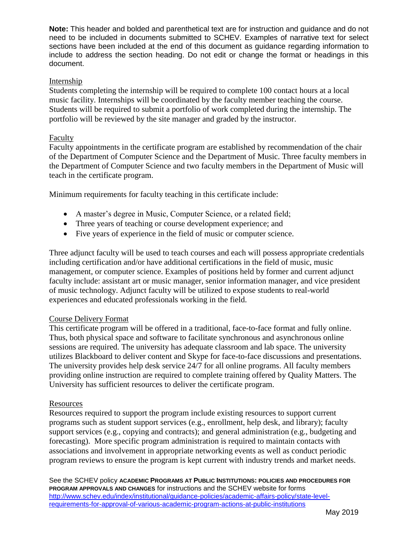### Internship

Students completing the internship will be required to complete 100 contact hours at a local music facility. Internships will be coordinated by the faculty member teaching the course. Students will be required to submit a portfolio of work completed during the internship. The portfolio will be reviewed by the site manager and graded by the instructor.

## Faculty

Faculty appointments in the certificate program are established by recommendation of the chair of the Department of Computer Science and the Department of Music. Three faculty members in the Department of Computer Science and two faculty members in the Department of Music will teach in the certificate program.

Minimum requirements for faculty teaching in this certificate include:

- A master's degree in Music, Computer Science, or a related field;
- Three years of teaching or course development experience; and
- Five years of experience in the field of music or computer science.

Three adjunct faculty will be used to teach courses and each will possess appropriate credentials including certification and/or have additional certifications in the field of music, music management, or computer science. Examples of positions held by former and current adjunct faculty include: assistant art or music manager, senior information manager, and vice president of music technology. Adjunct faculty will be utilized to expose students to real-world experiences and educated professionals working in the field.

### Course Delivery Format

This certificate program will be offered in a traditional, face-to-face format and fully online. Thus, both physical space and software to facilitate synchronous and asynchronous online sessions are required. The university has adequate classroom and lab space. The university utilizes Blackboard to deliver content and Skype for face-to-face discussions and presentations. The university provides help desk service 24/7 for all online programs. All faculty members providing online instruction are required to complete training offered by Quality Matters. The University has sufficient resources to deliver the certificate program.

### Resources

Resources required to support the program include existing resources to support current programs such as student support services (e.g., enrollment, help desk, and library); faculty support services (e.g., copying and contracts); and general administration (e.g., budgeting and forecasting). More specific program administration is required to maintain contacts with associations and involvement in appropriate networking events as well as conduct periodic program reviews to ensure the program is kept current with industry trends and market needs.

See the SCHEV policy **ACADEMIC PROGRAMS AT PUBLIC INSTITUTIONS: POLICIES AND PROCEDURES FOR PROGRAM APPROVALS AND CHANGES** for instructions and the SCHEV website for forms [http://www.schev.edu/index/institutional/guidance-policies/academic-affairs-policy/state-level](http://www.schev.edu/index/institutional/guidance-policies/academic-affairs-policy/state-level-requirements-for-approval-of-various-academic-program-actions-at-public-institutions)[requirements-for-approval-of-various-academic-program-actions-at-public-institutions](http://www.schev.edu/index/institutional/guidance-policies/academic-affairs-policy/state-level-requirements-for-approval-of-various-academic-program-actions-at-public-institutions)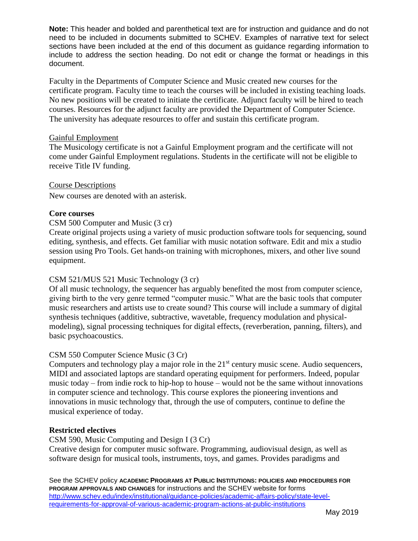Faculty in the Departments of Computer Science and Music created new courses for the certificate program. Faculty time to teach the courses will be included in existing teaching loads. No new positions will be created to initiate the certificate. Adjunct faculty will be hired to teach courses. Resources for the adjunct faculty are provided the Department of Computer Science. The university has adequate resources to offer and sustain this certificate program.

### Gainful Employment

The Musicology certificate is not a Gainful Employment program and the certificate will not come under Gainful Employment regulations. Students in the certificate will not be eligible to receive Title IV funding.

# Course Descriptions

New courses are denoted with an asterisk.

# **Core courses**

# CSM 500 Computer and Music (3 cr)

Create original projects using a variety of music production software tools for sequencing, sound editing, synthesis, and effects. Get familiar with music notation software. Edit and mix a studio session using Pro Tools. Get hands-on training with microphones, mixers, and other live sound equipment.

# CSM 521/MUS 521 Music Technology (3 cr)

Of all music technology, the sequencer has arguably benefited the most from computer science, giving birth to the very genre termed "computer music." What are the basic tools that computer music researchers and artists use to create sound? This course will include a summary of digital synthesis techniques (additive, subtractive, wavetable, frequency modulation and physicalmodeling), signal processing techniques for digital effects, (reverberation, panning, filters), and basic psychoacoustics.

# CSM 550 Computer Science Music (3 Cr)

Computers and technology play a major role in the  $21<sup>st</sup>$  century music scene. Audio sequencers, MIDI and associated laptops are standard operating equipment for performers. Indeed, popular music today – from indie rock to hip-hop to house – would not be the same without innovations in computer science and technology. This course explores the pioneering inventions and innovations in music technology that, through the use of computers, continue to define the musical experience of today.

# **Restricted electives**

CSM 590, Music Computing and Design I (3 Cr) Creative design for computer music software. Programming, audiovisual design, as well as software design for musical tools, instruments, toys, and games. Provides paradigms and

See the SCHEV policy **ACADEMIC PROGRAMS AT PUBLIC INSTITUTIONS: POLICIES AND PROCEDURES FOR PROGRAM APPROVALS AND CHANGES** for instructions and the SCHEV website for forms [http://www.schev.edu/index/institutional/guidance-policies/academic-affairs-policy/state-level](http://www.schev.edu/index/institutional/guidance-policies/academic-affairs-policy/state-level-requirements-for-approval-of-various-academic-program-actions-at-public-institutions)[requirements-for-approval-of-various-academic-program-actions-at-public-institutions](http://www.schev.edu/index/institutional/guidance-policies/academic-affairs-policy/state-level-requirements-for-approval-of-various-academic-program-actions-at-public-institutions)